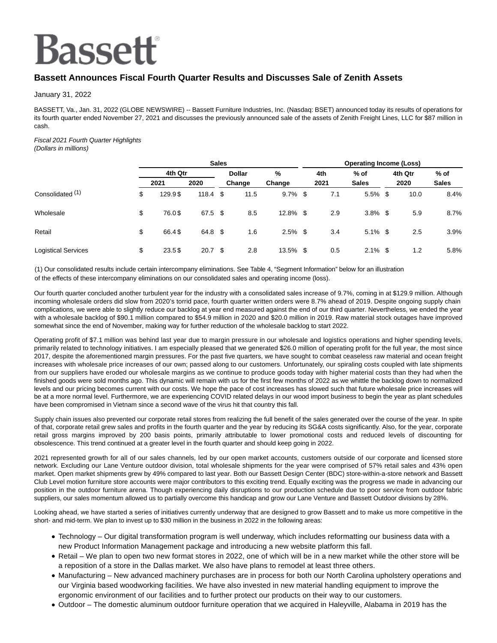# **Bassett**

## **Bassett Announces Fiscal Fourth Quarter Results and Discusses Sale of Zenith Assets**

January 31, 2022

BASSETT, Va., Jan. 31, 2022 (GLOBE NEWSWIRE) -- Bassett Furniture Industries, Inc. (Nasdaq: BSET) announced today its results of operations for its fourth quarter ended November 27, 2021 and discusses the previously announced sale of the assets of Zenith Freight Lines, LLC for \$87 million in cash.

### Fiscal 2021 Fourth Quarter Highlights

(Dollars in millions)

|                            |         | <b>Sales</b> |                   |  |        |            |     |      | <b>Operating Income (Loss)</b> |     |        |              |  |  |  |  |  |
|----------------------------|---------|--------------|-------------------|--|--------|------------|-----|------|--------------------------------|-----|--------|--------------|--|--|--|--|--|
|                            | 4th Qtr |              | <b>Dollar</b>     |  | %      |            | 4th | % of | 4th Qtr                        |     | $%$ of |              |  |  |  |  |  |
|                            |         | 2021         | 2020              |  | Change | Change     |     | 2021 | <b>Sales</b>                   |     | 2020   | <b>Sales</b> |  |  |  |  |  |
| Consolidated (1)           | \$      | 129.9\$      | $118.4$ \$        |  | 11.5   | $9.7\%$    | -\$ | 7.1  | 5.5%                           | -\$ | 10.0   | 8.4%         |  |  |  |  |  |
| Wholesale                  | \$      | 76.0\$       | 67.5 \$           |  | 8.5    | 12.8% \$   |     | 2.9  | $3.8\%$ \$                     |     | 5.9    | 8.7%         |  |  |  |  |  |
| Retail                     | \$      | 66.4\$       | 64.8 \$           |  | 1.6    | $2.5\%$ \$ |     | 3.4  | $5.1\%$ \$                     |     | 2.5    | 3.9%         |  |  |  |  |  |
| <b>Logistical Services</b> | \$      | 23.5\$       | 20.7 <sup>°</sup> |  | 2.8    | 13.5% \$   |     | 0.5  | $2.1\%$ \$                     |     | 1.2    | 5.8%         |  |  |  |  |  |

(1) Our consolidated results include certain intercompany eliminations. See Table 4, "Segment Information" below for an illustration of the effects of these intercompany eliminations on our consolidated sales and operating income (loss).

Our fourth quarter concluded another turbulent year for the industry with a consolidated sales increase of 9.7%, coming in at \$129.9 million. Although incoming wholesale orders did slow from 2020's torrid pace, fourth quarter written orders were 8.7% ahead of 2019. Despite ongoing supply chain complications, we were able to slightly reduce our backlog at year end measured against the end of our third quarter. Nevertheless, we ended the year with a wholesale backlog of \$90.1 million compared to \$54.9 million in 2020 and \$20.0 million in 2019. Raw material stock outages have improved somewhat since the end of November, making way for further reduction of the wholesale backlog to start 2022.

Operating profit of \$7.1 million was behind last year due to margin pressure in our wholesale and logistics operations and higher spending levels, primarily related to technology initiatives. I am especially pleased that we generated \$26.0 million of operating profit for the full year, the most since 2017, despite the aforementioned margin pressures. For the past five quarters, we have sought to combat ceaseless raw material and ocean freight increases with wholesale price increases of our own; passed along to our customers. Unfortunately, our spiraling costs coupled with late shipments from our suppliers have eroded our wholesale margins as we continue to produce goods today with higher material costs than they had when the finished goods were sold months ago. This dynamic will remain with us for the first few months of 2022 as we whittle the backlog down to normalized levels and our pricing becomes current with our costs. We hope the pace of cost increases has slowed such that future wholesale price increases will be at a more normal level. Furthermore, we are experiencing COVID related delays in our wood import business to begin the year as plant schedules have been compromised in Vietnam since a second wave of the virus hit that country this fall.

Supply chain issues also prevented our corporate retail stores from realizing the full benefit of the sales generated over the course of the year. In spite of that, corporate retail grew sales and profits in the fourth quarter and the year by reducing its SG&A costs significantly. Also, for the year, corporate retail gross margins improved by 200 basis points, primarily attributable to lower promotional costs and reduced levels of discounting for obsolescence. This trend continued at a greater level in the fourth quarter and should keep going in 2022.

2021 represented growth for all of our sales channels, led by our open market accounts, customers outside of our corporate and licensed store network. Excluding our Lane Venture outdoor division, total wholesale shipments for the year were comprised of 57% retail sales and 43% open market. Open market shipments grew by 49% compared to last year. Both our Bassett Design Center (BDC) store-within-a-store network and Bassett Club Level motion furniture store accounts were major contributors to this exciting trend. Equally exciting was the progress we made in advancing our position in the outdoor furniture arena. Though experiencing daily disruptions to our production schedule due to poor service from outdoor fabric suppliers, our sales momentum allowed us to partially overcome this handicap and grow our Lane Venture and Bassett Outdoor divisions by 28%.

Looking ahead, we have started a series of initiatives currently underway that are designed to grow Bassett and to make us more competitive in the short- and mid-term. We plan to invest up to \$30 million in the business in 2022 in the following areas:

- Technology Our digital transformation program is well underway, which includes reformatting our business data with a new Product Information Management package and introducing a new website platform this fall.
- Retail We plan to open two new format stores in 2022, one of which will be in a new market while the other store will be a reposition of a store in the Dallas market. We also have plans to remodel at least three others.
- Manufacturing New advanced machinery purchases are in process for both our North Carolina upholstery operations and our Virginia based woodworking facilities. We have also invested in new material handling equipment to improve the ergonomic environment of our facilities and to further protect our products on their way to our customers.
- Outdoor The domestic aluminum outdoor furniture operation that we acquired in Haleyville, Alabama in 2019 has the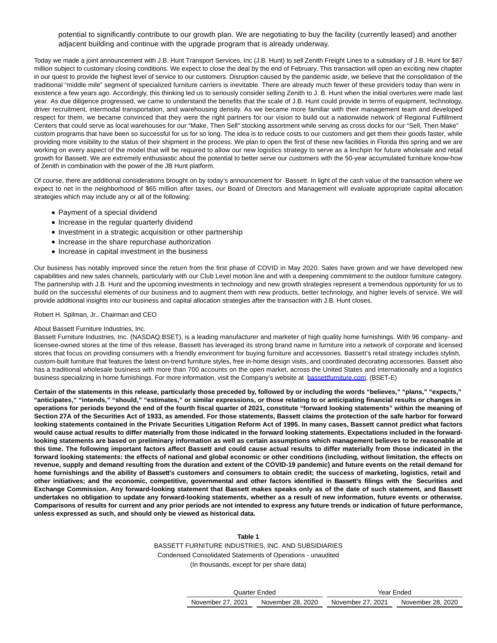potential to significantly contribute to our growth plan. We are negotiating to buy the facility (currently leased) and another adjacent building and continue with the upgrade program that is already underway.

Today we made a joint announcement with J.B. Hunt Transport Services, Inc (J.B. Hunt) to sell Zenith Freight Lines to a subsidiary of J.B. Hunt for \$87 million subject to customary closing conditions. We expect to close the deal by the end of February. This transaction will open an exciting new chapter in our quest to provide the highest level of service to our customers. Disruption caused by the pandemic aside, we believe that the consolidation of the traditional "middle mile" segment of specialized furniture carriers is inevitable. There are already much fewer of these providers today than were in existence a few years ago. Accordingly, this thinking led us to seriously consider selling Zenith to J. B. Hunt when the initial overtures were made last year. As due diligence progressed, we came to understand the benefits that the scale of J.B. Hunt could provide in terms of equipment, technology, driver recruitment, intermodal transportation, and warehousing density. As we became more familiar with their management team and developed respect for them, we became convinced that they were the right partners for our vision to build out a nationwide network of Regional Fulfillment Centers that could serve as local warehouses for our "Make, Then Sell" stocking assortment while serving as cross docks for our "Sell, Then Make" custom programs that have been so successful for us for so long. The idea is to reduce costs to our customers and get them their goods faster, while providing more visibility to the status of their shipment in the process. We plan to open the first of these new facilities in Florida this spring and we are working on every aspect of the model that will be required to allow our new logistics strategy to serve as a linchpin for future wholesale and retail growth for Bassett. We are extremely enthusiastic about the potential to better serve our customers with the 50-year accumulated furniture know-how of Zenith in combination with the power of the JB Hunt platform.

Of course, there are additional considerations brought on by today's announcement for Bassett. In light of the cash value of the transaction where we expect to net in the neighborhood of \$65 million after taxes, our Board of Directors and Management will evaluate appropriate capital allocation strategies which may include any or all of the following:

- Payment of a special dividend
- Increase in the regular quarterly dividend
- Investment in a strategic acquisition or other partnership
- Increase in the share repurchase authorization
- Increase in capital investment in the business

Our business has notably improved since the return from the first phase of COVID in May 2020. Sales have grown and we have developed new capabilities and new sales channels, particularly with our Club Level motion line and with a deepening commitment to the outdoor furniture category. The partnership with J.B. Hunt and the upcoming investments in technology and new growth strategies represent a tremendous opportunity for us to build on the successful elements of our business and to augment them with new products, better technology, and higher levels of service. We will provide additional insights into our business and capital allocation strategies after the transaction with J.B. Hunt closes.

Robert H. Spilman, Jr., Chairman and CEO

#### About Bassett Furniture Industries, Inc.

Bassett Furniture Industries, Inc. (NASDAQ:BSET), is a leading manufacturer and marketer of high quality home furnishings. With 96 company- and licensee-owned stores at the time of this release, Bassett has leveraged its strong brand name in furniture into a network of corporate and licensed stores that focus on providing consumers with a friendly environment for buying furniture and accessories. Bassett's retail strategy includes stylish, custom-built furniture that features the latest on-trend furniture styles, free in-home design visits, and coordinated decorating accessories. Bassett also has a traditional wholesale business with more than 700 accounts on the open market, across the United States and internationally and a logistics business specializing in home furnishings. For more information, visit the Company's website at [bassettfurniture.com.](http://bassettfurniture.com/) (BSET-E)

**Certain of the statements in this release, particularly those preceded by, followed by or including the words "believes," "plans," "expects," "anticipates," "intends," "should," "estimates," or similar expressions, or those relating to or anticipating financial results or changes in operations for periods beyond the end of the fourth fiscal quarter of 2021, constitute "forward looking statements" within the meaning of Section 27A of the Securities Act of 1933, as amended. For those statements, Bassett claims the protection of the safe harbor for forward looking statements contained in the Private Securities Litigation Reform Act of 1995. In many cases, Bassett cannot predict what factors would cause actual results to differ materially from those indicated in the forward looking statements. Expectations included in the forwardlooking statements are based on preliminary information as well as certain assumptions which management believes to be reasonable at this time. The following important factors affect Bassett and could cause actual results to differ materially from those indicated in the forward looking statements: the effects of national and global economic or other conditions (including, without limitation, the effects on revenue, supply and demand resulting from the duration and extent of the COVID-19 pandemic) and future events on the retail demand for home furnishings and the ability of Bassett's customers and consumers to obtain credit; the success of marketing, logistics, retail and other initiatives; and the economic, competitive, governmental and other factors identified in Bassett's filings with the Securities and Exchange Commission. Any forward-looking statement that Bassett makes speaks only as of the date of such statement, and Bassett undertakes no obligation to update any forward-looking statements, whether as a result of new information, future events or otherwise. Comparisons of results for current and any prior periods are not intended to express any future trends or indication of future performance, unless expressed as such, and should only be viewed as historical data.**

> **Table 1** BASSETT FURNITURE INDUSTRIES, INC. AND SUBSIDIARIES Condensed Consolidated Statements of Operations - unaudited (In thousands, except for per share data)

| Quarter Ended     |                   | Year Ended        |                   |  |  |  |  |  |  |
|-------------------|-------------------|-------------------|-------------------|--|--|--|--|--|--|
| November 27, 2021 | November 28, 2020 | November 27, 2021 | November 28, 2020 |  |  |  |  |  |  |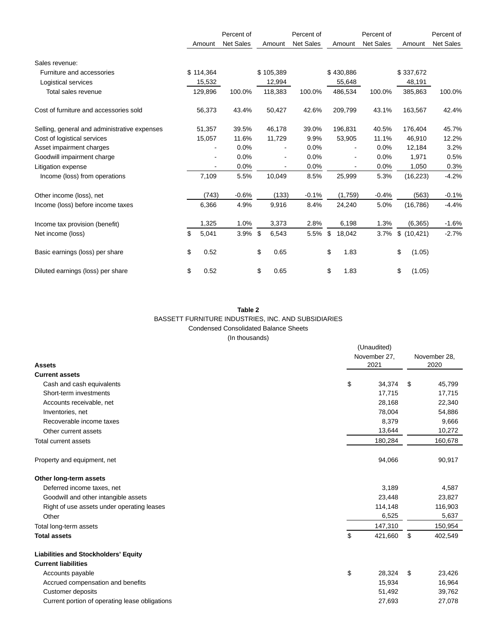|                                              | Percent of |           | Percent of       |    |           | Percent of       |    |           |                  |    | Percent of  |                  |
|----------------------------------------------|------------|-----------|------------------|----|-----------|------------------|----|-----------|------------------|----|-------------|------------------|
|                                              |            | Amount    | <b>Net Sales</b> |    | Amount    | <b>Net Sales</b> |    | Amount    | <b>Net Sales</b> |    | Amount      | <b>Net Sales</b> |
| Sales revenue:                               |            |           |                  |    |           |                  |    |           |                  |    |             |                  |
| Furniture and accessories                    |            | \$114,364 |                  |    | \$105,389 |                  |    | \$430,886 |                  |    | \$337,672   |                  |
| Logistical services                          |            | 15,532    |                  |    | 12,994    |                  |    | 55,648    |                  |    | 48,191      |                  |
| Total sales revenue                          |            | 129,896   | 100.0%           |    | 118,383   | 100.0%           |    | 486,534   | 100.0%           |    | 385,863     | 100.0%           |
| Cost of furniture and accessories sold       |            | 56,373    | 43.4%            |    | 50,427    | 42.6%            |    | 209,799   | 43.1%            |    | 163,567     | 42.4%            |
| Selling, general and administrative expenses |            | 51,357    | 39.5%            |    | 46,178    | 39.0%            |    | 196,831   | 40.5%            |    | 176,404     | 45.7%            |
| Cost of logistical services                  |            | 15,057    | 11.6%            |    | 11,729    | 9.9%             |    | 53,905    | 11.1%            |    | 46,910      | 12.2%            |
| Asset impairment charges                     |            |           | 0.0%             |    |           | 0.0%             |    |           | 0.0%             |    | 12,184      | 3.2%             |
| Goodwill impairment charge                   |            |           | 0.0%             |    |           | 0.0%             |    |           | 0.0%             |    | 1,971       | 0.5%             |
| Litigation expense                           |            |           | 0.0%             |    |           | 0.0%             |    |           | 0.0%             |    | 1,050       | 0.3%             |
| Income (loss) from operations                |            | 7,109     | 5.5%             |    | 10,049    | 8.5%             |    | 25,999    | 5.3%             |    | (16, 223)   | $-4.2%$          |
| Other income (loss), net                     |            | (743)     | $-0.6%$          |    | (133)     | $-0.1%$          |    | (1,759)   | $-0.4%$          |    | (563)       | $-0.1%$          |
| Income (loss) before income taxes            |            | 6,366     | 4.9%             |    | 9,916     | 8.4%             |    | 24,240    | 5.0%             |    | (16, 786)   | $-4.4%$          |
| Income tax provision (benefit)               |            | 1,325     | 1.0%             |    | 3,373     | 2.8%             |    | 6,198     | 1.3%             |    | (6, 365)    | $-1.6%$          |
| Net income (loss)                            | \$         | 5,041     | 3.9%             | \$ | 6,543     | 5.5%             | \$ | 18,042    | 3.7%             |    | \$(10, 421) | $-2.7%$          |
| Basic earnings (loss) per share              | \$         | 0.52      |                  | \$ | 0.65      |                  | \$ | 1.83      |                  | \$ | (1.05)      |                  |
| Diluted earnings (loss) per share            | \$         | 0.52      |                  | \$ | 0.65      |                  | \$ | 1.83      |                  | \$ | (1.05)      |                  |

#### **Table 2** BASSETT FURNITURE INDUSTRIES, INC. AND SUBSIDIARIES Condensed Consolidated Balance Sheets (In thousands)

| <b>Assets</b><br><b>Current assets</b>              | (Unaudited)<br>November 27.<br>2021 | November 28.<br>2020 |
|-----------------------------------------------------|-------------------------------------|----------------------|
|                                                     | \$<br>34.374                        | \$<br>45,799         |
| Cash and cash equivalents<br>Short-term investments | 17,715                              | 17,715               |
| Accounts receivable, net                            | 28,168                              | 22,340               |
| Inventories, net                                    | 78,004                              | 54,886               |
| Recoverable income taxes                            | 8,379                               | 9,666                |
| Other current assets                                | 13,644                              | 10,272               |
| Total current assets                                | 180,284                             | 160,678              |
| Property and equipment, net                         | 94,066                              | 90,917               |
| Other long-term assets                              |                                     |                      |
| Deferred income taxes, net                          | 3,189                               | 4,587                |
| Goodwill and other intangible assets                | 23,448                              | 23,827               |
| Right of use assets under operating leases          | 114,148                             | 116,903              |
| Other                                               | 6,525                               | 5,637                |
| Total long-term assets                              | 147,310                             | 150,954              |
| <b>Total assets</b>                                 | \$<br>421,660                       | \$<br>402,549        |
| <b>Liabilities and Stockholders' Equity</b>         |                                     |                      |
| <b>Current liabilities</b>                          |                                     |                      |
| Accounts payable                                    | \$<br>28,324                        | \$<br>23,426         |
| Accrued compensation and benefits                   | 15,934                              | 16,964               |
| <b>Customer deposits</b>                            | 51,492                              | 39,762               |
| Current portion of operating lease obligations      | 27,693                              | 27,078               |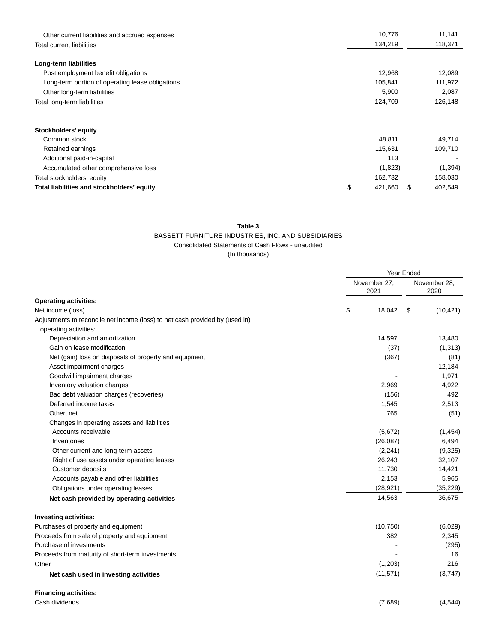| Other current liabilities and accrued expenses   | 10,776       | 11,141        |
|--------------------------------------------------|--------------|---------------|
| <b>Total current liabilities</b>                 | 134,219      | 118,371       |
|                                                  |              |               |
| Long-term liabilities                            |              |               |
| Post employment benefit obligations              | 12,968       | 12,089        |
| Long-term portion of operating lease obligations | 105,841      | 111,972       |
| Other long-term liabilities                      | 5,900        | 2,087         |
| Total long-term liabilities                      | 124,709      | 126,148       |
|                                                  |              |               |
| Stockholders' equity                             |              |               |
| Common stock                                     | 48,811       | 49,714        |
| Retained earnings                                | 115,631      | 109,710       |
| Additional paid-in-capital                       | 113          |               |
| Accumulated other comprehensive loss             | (1,823)      | (1, 394)      |
| Total stockholders' equity                       | 162,732      | 158,030       |
| Total liabilities and stockholders' equity       | 421,660<br>S | \$<br>402,549 |

#### **Table 3**

#### BASSETT FURNITURE INDUSTRIES, INC. AND SUBSIDIARIES

Consolidated Statements of Cash Flows - unaudited

(In thousands)

|                                                                              | Year Ended |                      |    |                      |
|------------------------------------------------------------------------------|------------|----------------------|----|----------------------|
|                                                                              |            | November 27,<br>2021 |    | November 28,<br>2020 |
| <b>Operating activities:</b>                                                 |            |                      |    |                      |
| Net income (loss)                                                            | \$         | 18,042               | \$ | (10, 421)            |
| Adjustments to reconcile net income (loss) to net cash provided by (used in) |            |                      |    |                      |
| operating activities:                                                        |            |                      |    |                      |
| Depreciation and amortization                                                |            | 14,597               |    | 13,480               |
| Gain on lease modification                                                   |            | (37)                 |    | (1, 313)             |
| Net (gain) loss on disposals of property and equipment                       |            | (367)                |    | (81)                 |
| Asset impairment charges                                                     |            |                      |    | 12,184               |
| Goodwill impairment charges                                                  |            |                      |    | 1,971                |
| Inventory valuation charges                                                  |            | 2,969                |    | 4,922                |
| Bad debt valuation charges (recoveries)                                      |            | (156)                |    | 492                  |
| Deferred income taxes                                                        |            | 1,545                |    | 2,513                |
| Other, net                                                                   |            | 765                  |    | (51)                 |
| Changes in operating assets and liabilities                                  |            |                      |    |                      |
| Accounts receivable                                                          |            | (5,672)              |    | (1, 454)             |
| Inventories                                                                  |            | (26,087)             |    | 6,494                |
| Other current and long-term assets                                           |            | (2,241)              |    | (9,325)              |
| Right of use assets under operating leases                                   |            | 26,243               |    | 32,107               |
| <b>Customer deposits</b>                                                     |            | 11,730               |    | 14,421               |
| Accounts payable and other liabilities                                       |            | 2,153                |    | 5,965                |
| Obligations under operating leases                                           |            | (28, 921)            |    | (35, 229)            |
| Net cash provided by operating activities                                    |            | 14,563               |    | 36,675               |
| <b>Investing activities:</b>                                                 |            |                      |    |                      |
| Purchases of property and equipment                                          |            | (10, 750)            |    | (6,029)              |
| Proceeds from sale of property and equipment                                 |            | 382                  |    | 2,345                |
| Purchase of investments                                                      |            |                      |    | (295)                |
| Proceeds from maturity of short-term investments                             |            |                      |    | 16                   |
| Other                                                                        |            | (1,203)              |    | 216                  |
| Net cash used in investing activities                                        |            | (11, 571)            |    | (3,747)              |
| <b>Financing activities:</b>                                                 |            |                      |    |                      |
| Cash dividends                                                               |            | (7,689)              |    | (4, 544)             |